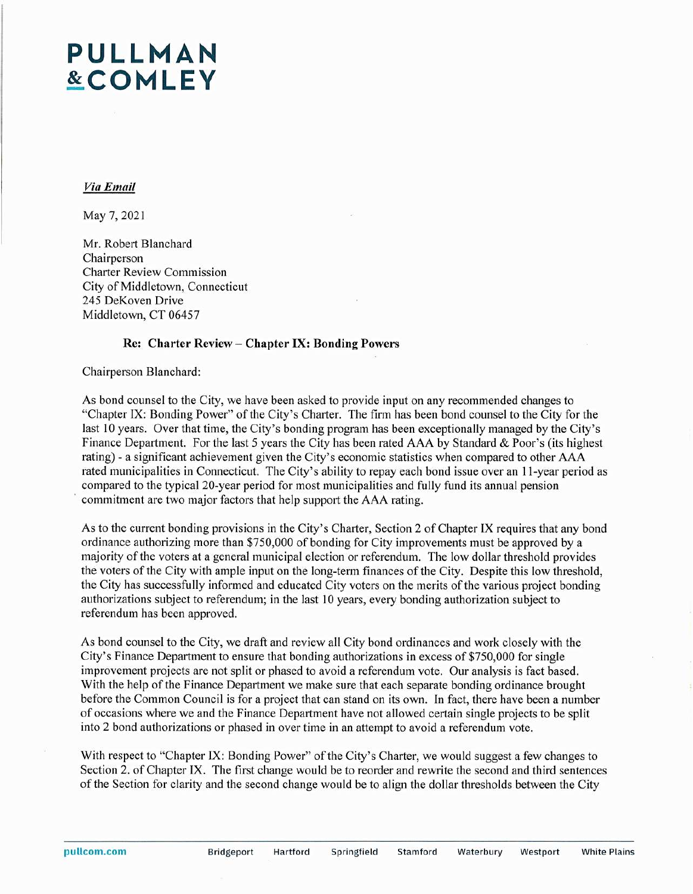# **PULLMAN &COMLEY**

### *Via Email*

May 7, 2021

Mr. Robert Blanchard Chairperson Charter Review Commission City of Middletown, Connecticut 245 DeKoven Drive Middletown, CT 06457

#### **Re: Charter Review - Chapter IX: Bonding Powers**

Chairperson Blanchard:

As bond counsel to the City, we have been asked to provide input on any recommended changes to "Chapter IX: Bonding Power" of the City's Charter. The firm has been bond counsel to the City for the last 10 years. Over that time, the City's bonding program has been exceptionally managed by the City's Finance Department. For the last 5 years the City has been rated AAA by Standard & Poor's (its highest rating) - a significant achievement given the City's economic statistics when compared to other AAA rated municipalities in Connecticut. The City's ability to repay each bond issue over an 11-year period as compared to the typical 20-year period for most municipalities and fully fund its annual pension commitment are two major factors that help support the AAA rating.

As to the current bonding provisions in the City's Charter, Section 2 of Chapter IX requires that any bond ordinance authorizing more than \$750,000 of bonding for City improvements must be approved by a majority ofthe voters at a general municipal election or referendum. The low dollar threshold provides the voters of the City with ample input on the long-term finances of the City. Despite this low threshold, the City has successfully informed and educated City voters on the merits of the various project bonding authorizations subject to referendum; in the last 10 years, every bonding authorization subject to referendum has been approved.

As bond counsel to the City, we draft and review all City bond ordinances and work closely with the City's Finance Department to ensure that bonding authorizations in excess of \$750,000 for single improvement projects are not split or phased to avoid a referendum vote. Our analysis is fact based. With the help of the Finance Department we make sure that each separate bonding ordinance brought before the Common Council is for a project that can stand on its own. In fact, there have been a number of occasions where we and the Finance Department have not allowed certain single projects to be split into 2 bond authorizations or phased in over time in an attempt to avoid a referendum vote.

With respect to "Chapter IX: Bonding Power" of the City's Charter, we would suggest a few changes to Section 2. of Chapter IX. The first change would be to reorder and rewrite the second and third sentences of the Section for clarity and the second change would be to align the dollar thresholds between the City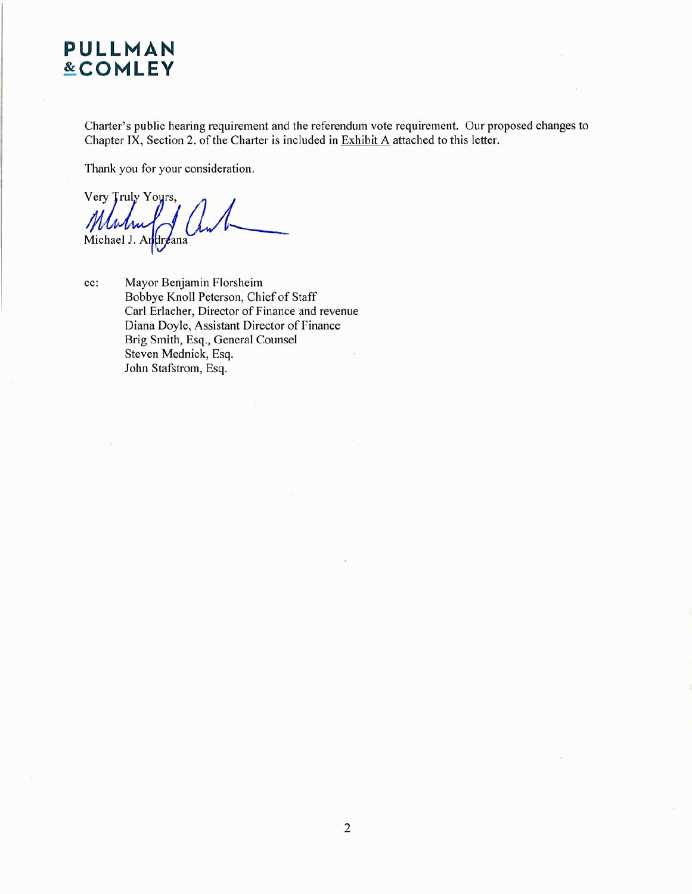# **PULLMAN &COMLEY**

Charter's public hearing requirement and the referendum vote requirement. Our proposed changes to Chapter IX, Section 2. of the Charter is included in Exhibit A attached to this letter.

Thank you for your consideration.

Very Truly Yours, Michael J. Andreana

cc: Mayor Benjamin Florsheim Bobbye Knoll Peterson, Chief of Staff Carl Erlacher, Director of Finance and revenue Diana Doyle, Assistant Director of Finance Brig Smith, Esq., General Counsel Steven Mednick, Esq. John Stafstrom, Esq.